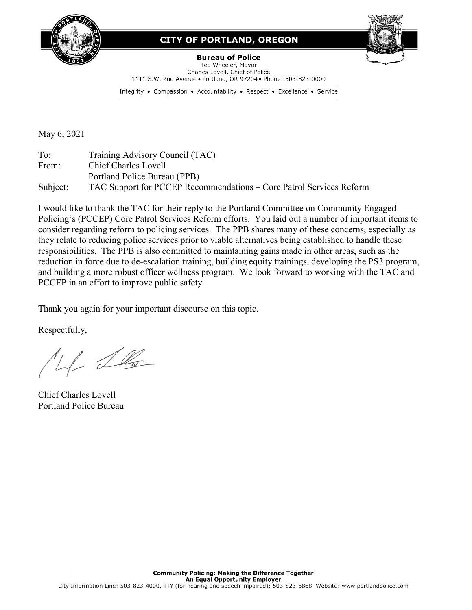

#### **CITY OF PORTLAND, OREGON**



**Bureau of Police** Ted Wheeler, Mayor Charles Lovell, Chief of Police 1111 S.W. 2nd Avenue . Portland, OR 97204 . Phone: 503-823-0000

Integrity • Compassion • Accountability • Respect • Excellence • Service

May 6, 2021

To: Training Advisory Council (TAC) From: Chief Charles Lovell Portland Police Bureau (PPB) Subject: TAC Support for PCCEP Recommendations – Core Patrol Services Reform

I would like to thank the TAC for their reply to the Portland Committee on Community Engaged-Policing's (PCCEP) Core Patrol Services Reform efforts. You laid out a number of important items to consider regarding reform to policing services. The PPB shares many of these concerns, especially as they relate to reducing police services prior to viable alternatives being established to handle these responsibilities. The PPB is also committed to maintaining gains made in other areas, such as the reduction in force due to de-escalation training, building equity trainings, developing the PS3 program, and building a more robust officer wellness program. We look forward to working with the TAC and PCCEP in an effort to improve public safety.

Thank you again for your important discourse on this topic.

Respectfully,

 $1/2$ 

Chief Charles Lovell Portland Police Bureau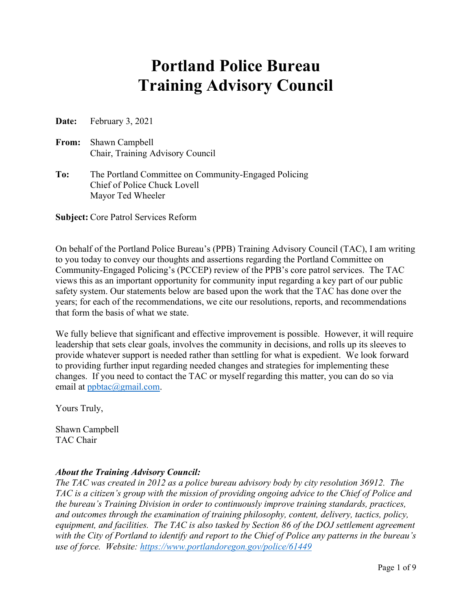# **Portland Police Bureau Training Advisory Council**

**Date:** February 3, 2021

**From:** Shawn Campbell Chair, Training Advisory Council

**To:** The Portland Committee on Community-Engaged Policing Chief of Police Chuck Lovell Mayor Ted Wheeler

**Subject:** Core Patrol Services Reform

On behalf of the Portland Police Bureau's (PPB) Training Advisory Council (TAC), I am writing to you today to convey our thoughts and assertions regarding the Portland Committee on Community-Engaged Policing's (PCCEP) review of the PPB's core patrol services. The TAC views this as an important opportunity for community input regarding a key part of our public safety system. Our statements below are based upon the work that the TAC has done over the years; for each of the recommendations, we cite our resolutions, reports, and recommendations that form the basis of what we state.

We fully believe that significant and effective improvement is possible. However, it will require leadership that sets clear goals, involves the community in decisions, and rolls up its sleeves to provide whatever support is needed rather than settling for what is expedient. We look forward to providing further input regarding needed changes and strategies for implementing these changes. If you need to contact the TAC or myself regarding this matter, you can do so via email at [ppbtac@gmail.com.](mailto:ppbtac@gmail.com)

Yours Truly,

Shawn Campbell TAC Chair

#### *About the Training Advisory Council:*

*The TAC was created in 2012 as a police bureau advisory body by city resolution 36912. The TAC is a citizen's group with the mission of providing ongoing advice to the Chief of Police and the bureau's Training Division in order to continuously improve training standards, practices, and outcomes through the examination of training philosophy, content, delivery, tactics, policy, equipment, and facilities. The TAC is also tasked by Section 86 of the DOJ settlement agreement with the City of Portland to identify and report to the Chief of Police any patterns in the bureau's use of force. Website:<https://www.portlandoregon.gov/police/61449>*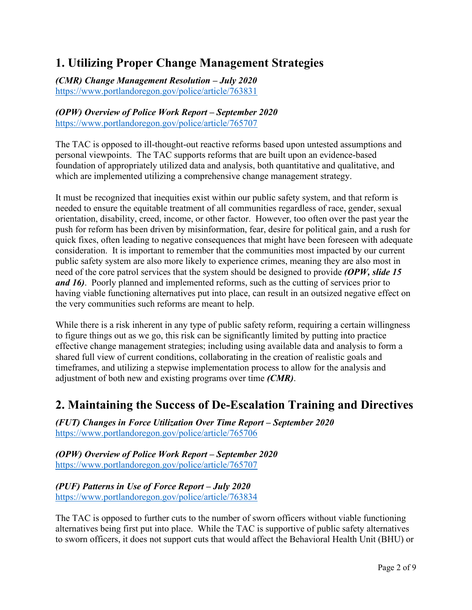### **1. Utilizing Proper Change Management Strategies**

*(CMR) Change Management Resolution – July 2020* <https://www.portlandoregon.gov/police/article/763831>

#### *(OPW) Overview of Police Work Report – September 2020* <https://www.portlandoregon.gov/police/article/765707>

The TAC is opposed to ill-thought-out reactive reforms based upon untested assumptions and personal viewpoints. The TAC supports reforms that are built upon an evidence-based foundation of appropriately utilized data and analysis, both quantitative and qualitative, and which are implemented utilizing a comprehensive change management strategy.

It must be recognized that inequities exist within our public safety system, and that reform is needed to ensure the equitable treatment of all communities regardless of race, gender, sexual orientation, disability, creed, income, or other factor. However, too often over the past year the push for reform has been driven by misinformation, fear, desire for political gain, and a rush for quick fixes, often leading to negative consequences that might have been foreseen with adequate consideration. It is important to remember that the communities most impacted by our current public safety system are also more likely to experience crimes, meaning they are also most in need of the core patrol services that the system should be designed to provide *(OPW, slide 15 and 16)*. Poorly planned and implemented reforms, such as the cutting of services prior to having viable functioning alternatives put into place, can result in an outsized negative effect on the very communities such reforms are meant to help.

While there is a risk inherent in any type of public safety reform, requiring a certain willingness to figure things out as we go, this risk can be significantly limited by putting into practice effective change management strategies; including using available data and analysis to form a shared full view of current conditions, collaborating in the creation of realistic goals and timeframes, and utilizing a stepwise implementation process to allow for the analysis and adjustment of both new and existing programs over time *(CMR)*.

#### **2. Maintaining the Success of De-Escalation Training and Directives**

*(FUT) Changes in Force Utilization Over Time Report – September 2020* <https://www.portlandoregon.gov/police/article/765706>

*(OPW) Overview of Police Work Report – September 2020* <https://www.portlandoregon.gov/police/article/765707>

*(PUF) Patterns in Use of Force Report – July 2020* <https://www.portlandoregon.gov/police/article/763834>

The TAC is opposed to further cuts to the number of sworn officers without viable functioning alternatives being first put into place. While the TAC is supportive of public safety alternatives to sworn officers, it does not support cuts that would affect the Behavioral Health Unit (BHU) or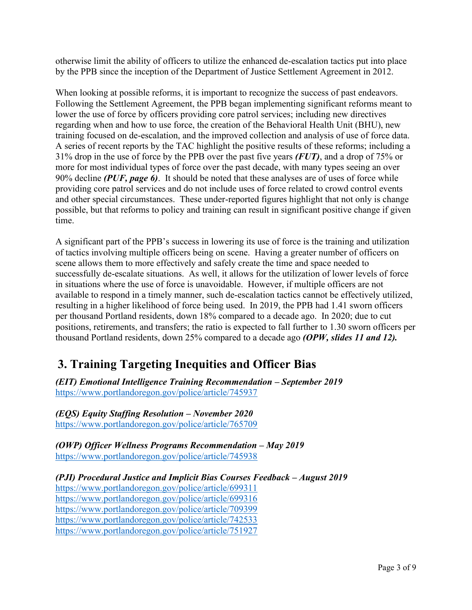otherwise limit the ability of officers to utilize the enhanced de-escalation tactics put into place by the PPB since the inception of the Department of Justice Settlement Agreement in 2012.

When looking at possible reforms, it is important to recognize the success of past endeavors. Following the Settlement Agreement, the PPB began implementing significant reforms meant to lower the use of force by officers providing core patrol services; including new directives regarding when and how to use force, the creation of the Behavioral Health Unit (BHU), new training focused on de-escalation, and the improved collection and analysis of use of force data. A series of recent reports by the TAC highlight the positive results of these reforms; including a 31% drop in the use of force by the PPB over the past five years *(FUT)*, and a drop of 75% or more for most individual types of force over the past decade, with many types seeing an over 90% decline *(PUF, page 6)*. It should be noted that these analyses are of uses of force while providing core patrol services and do not include uses of force related to crowd control events and other special circumstances. These under-reported figures highlight that not only is change possible, but that reforms to policy and training can result in significant positive change if given time.

A significant part of the PPB's success in lowering its use of force is the training and utilization of tactics involving multiple officers being on scene. Having a greater number of officers on scene allows them to more effectively and safely create the time and space needed to successfully de-escalate situations. As well, it allows for the utilization of lower levels of force in situations where the use of force is unavoidable. However, if multiple officers are not available to respond in a timely manner, such de-escalation tactics cannot be effectively utilized, resulting in a higher likelihood of force being used. In 2019, the PPB had 1.41 sworn officers per thousand Portland residents, down 18% compared to a decade ago. In 2020; due to cut positions, retirements, and transfers; the ratio is expected to fall further to 1.30 sworn officers per thousand Portland residents, down 25% compared to a decade ago *(OPW, slides 11 and 12).*

#### **3. Training Targeting Inequities and Officer Bias**

*(EIT) Emotional Intelligence Training Recommendation – September 2019* <https://www.portlandoregon.gov/police/article/745937>

*(EQS) Equity Staffing Resolution – November 2020* <https://www.portlandoregon.gov/police/article/765709>

*(OWP)* Officer Wellness Programs Recommendation – May 2019 <https://www.portlandoregon.gov/police/article/745938>

*(PJI) Procedural Justice and Implicit Bias Courses Feedback – August 2019*

<https://www.portlandoregon.gov/police/article/699311> <https://www.portlandoregon.gov/police/article/699316> <https://www.portlandoregon.gov/police/article/709399> <https://www.portlandoregon.gov/police/article/742533> <https://www.portlandoregon.gov/police/article/751927>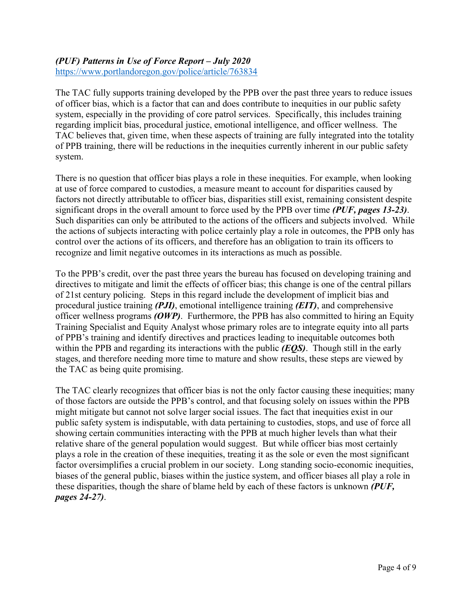### *(PUF) Patterns in Use of Force Report – July 2020*

<https://www.portlandoregon.gov/police/article/763834>

The TAC fully supports training developed by the PPB over the past three years to reduce issues of officer bias, which is a factor that can and does contribute to inequities in our public safety system, especially in the providing of core patrol services. Specifically, this includes training regarding implicit bias, procedural justice, emotional intelligence, and officer wellness. The TAC believes that, given time, when these aspects of training are fully integrated into the totality of PPB training, there will be reductions in the inequities currently inherent in our public safety system.

There is no question that officer bias plays a role in these inequities. For example, when looking at use of force compared to custodies, a measure meant to account for disparities caused by factors not directly attributable to officer bias, disparities still exist, remaining consistent despite significant drops in the overall amount to force used by the PPB over time *(PUF, pages 13-23)*. Such disparities can only be attributed to the actions of the officers and subjects involved. While the actions of subjects interacting with police certainly play a role in outcomes, the PPB only has control over the actions of its officers, and therefore has an obligation to train its officers to recognize and limit negative outcomes in its interactions as much as possible.

To the PPB's credit, over the past three years the bureau has focused on developing training and directives to mitigate and limit the effects of officer bias; this change is one of the central pillars of 21st century policing. Steps in this regard include the development of implicit bias and procedural justice training *(PJI)*, emotional intelligence training *(EIT)*, and comprehensive officer wellness programs *(OWP)*. Furthermore, the PPB has also committed to hiring an Equity Training Specialist and Equity Analyst whose primary roles are to integrate equity into all parts of PPB's training and identify directives and practices leading to inequitable outcomes both within the PPB and regarding its interactions with the public *(EQS)*. Though still in the early stages, and therefore needing more time to mature and show results, these steps are viewed by the TAC as being quite promising.

The TAC clearly recognizes that officer bias is not the only factor causing these inequities; many of those factors are outside the PPB's control, and that focusing solely on issues within the PPB might mitigate but cannot not solve larger social issues. The fact that inequities exist in our public safety system is indisputable, with data pertaining to custodies, stops, and use of force all showing certain communities interacting with the PPB at much higher levels than what their relative share of the general population would suggest. But while officer bias most certainly plays a role in the creation of these inequities, treating it as the sole or even the most significant factor oversimplifies a crucial problem in our society. Long standing socio-economic inequities, biases of the general public, biases within the justice system, and officer biases all play a role in these disparities, though the share of blame held by each of these factors is unknown *(PUF, pages 24-27)*.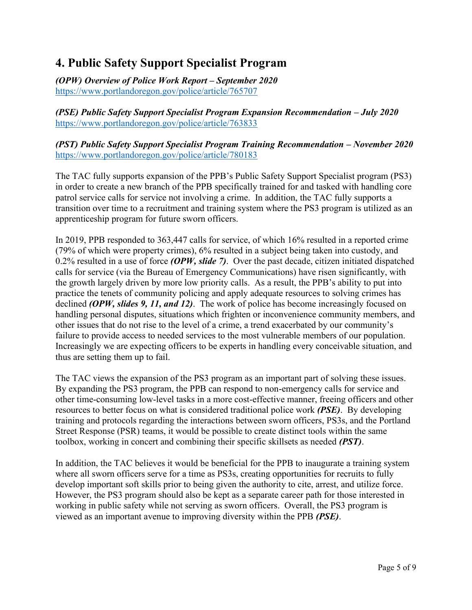### **4. Public Safety Support Specialist Program**

*(OPW) Overview of Police Work Report – September 2020* <https://www.portlandoregon.gov/police/article/765707>

*(PSE) Public Safety Support Specialist Program Expansion Recommendation – July 2020* <https://www.portlandoregon.gov/police/article/763833>

*(PST) Public Safety Support Specialist Program Training Recommendation – November 2020* <https://www.portlandoregon.gov/police/article/780183>

The TAC fully supports expansion of the PPB's Public Safety Support Specialist program (PS3) in order to create a new branch of the PPB specifically trained for and tasked with handling core patrol service calls for service not involving a crime. In addition, the TAC fully supports a transition over time to a recruitment and training system where the PS3 program is utilized as an apprenticeship program for future sworn officers.

In 2019, PPB responded to 363,447 calls for service, of which 16% resulted in a reported crime (79% of which were property crimes), 6% resulted in a subject being taken into custody, and 0.2% resulted in a use of force *(OPW, slide 7)*. Over the past decade, citizen initiated dispatched calls for service (via the Bureau of Emergency Communications) have risen significantly, with the growth largely driven by more low priority calls. As a result, the PPB's ability to put into practice the tenets of community policing and apply adequate resources to solving crimes has declined *(OPW, slides 9, 11, and 12)*. The work of police has become increasingly focused on handling personal disputes, situations which frighten or inconvenience community members, and other issues that do not rise to the level of a crime, a trend exacerbated by our community's failure to provide access to needed services to the most vulnerable members of our population. Increasingly we are expecting officers to be experts in handling every conceivable situation, and thus are setting them up to fail.

The TAC views the expansion of the PS3 program as an important part of solving these issues. By expanding the PS3 program, the PPB can respond to non-emergency calls for service and other time-consuming low-level tasks in a more cost-effective manner, freeing officers and other resources to better focus on what is considered traditional police work *(PSE)*. By developing training and protocols regarding the interactions between sworn officers, PS3s, and the Portland Street Response (PSR) teams, it would be possible to create distinct tools within the same toolbox, working in concert and combining their specific skillsets as needed *(PST)*.

In addition, the TAC believes it would be beneficial for the PPB to inaugurate a training system where all sworn officers serve for a time as PS3s, creating opportunities for recruits to fully develop important soft skills prior to being given the authority to cite, arrest, and utilize force. However, the PS3 program should also be kept as a separate career path for those interested in working in public safety while not serving as sworn officers. Overall, the PS3 program is viewed as an important avenue to improving diversity within the PPB *(PSE)*.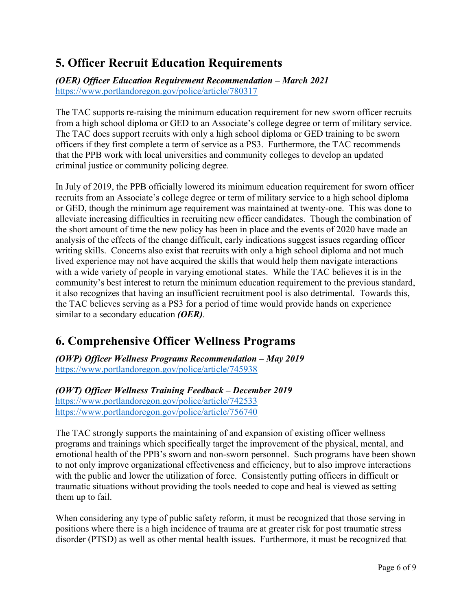## **5. Officer Recruit Education Requirements**

*(OER) Officer Education Requirement Recommendation – March 2021* <https://www.portlandoregon.gov/police/article/780317>

The TAC supports re-raising the minimum education requirement for new sworn officer recruits from a high school diploma or GED to an Associate's college degree or term of military service. The TAC does support recruits with only a high school diploma or GED training to be sworn officers if they first complete a term of service as a PS3. Furthermore, the TAC recommends that the PPB work with local universities and community colleges to develop an updated criminal justice or community policing degree.

In July of 2019, the PPB officially lowered its minimum education requirement for sworn officer recruits from an Associate's college degree or term of military service to a high school diploma or GED, though the minimum age requirement was maintained at twenty-one. This was done to alleviate increasing difficulties in recruiting new officer candidates. Though the combination of the short amount of time the new policy has been in place and the events of 2020 have made an analysis of the effects of the change difficult, early indications suggest issues regarding officer writing skills. Concerns also exist that recruits with only a high school diploma and not much lived experience may not have acquired the skills that would help them navigate interactions with a wide variety of people in varying emotional states. While the TAC believes it is in the community's best interest to return the minimum education requirement to the previous standard, it also recognizes that having an insufficient recruitment pool is also detrimental. Towards this, the TAC believes serving as a PS3 for a period of time would provide hands on experience similar to a secondary education *(OER)*.

#### **6. Comprehensive Officer Wellness Programs**

*(OWP)* Officer Wellness Programs Recommendation – May 2019 <https://www.portlandoregon.gov/police/article/745938>

*(OWT) Officer Wellness Training Feedback – December 2019* <https://www.portlandoregon.gov/police/article/742533> <https://www.portlandoregon.gov/police/article/756740>

The TAC strongly supports the maintaining of and expansion of existing officer wellness programs and trainings which specifically target the improvement of the physical, mental, and emotional health of the PPB's sworn and non-sworn personnel. Such programs have been shown to not only improve organizational effectiveness and efficiency, but to also improve interactions with the public and lower the utilization of force. Consistently putting officers in difficult or traumatic situations without providing the tools needed to cope and heal is viewed as setting them up to fail.

When considering any type of public safety reform, it must be recognized that those serving in positions where there is a high incidence of trauma are at greater risk for post traumatic stress disorder (PTSD) as well as other mental health issues. Furthermore, it must be recognized that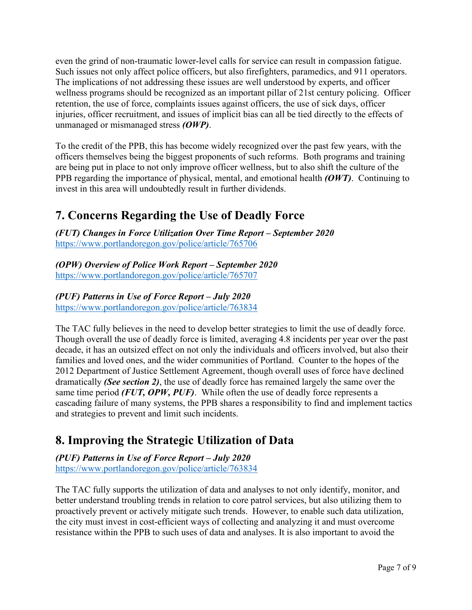even the grind of non-traumatic lower-level calls for service can result in compassion fatigue. Such issues not only affect police officers, but also firefighters, paramedics, and 911 operators. The implications of not addressing these issues are well understood by experts, and officer wellness programs should be recognized as an important pillar of 21st century policing. Officer retention, the use of force, complaints issues against officers, the use of sick days, officer injuries, officer recruitment, and issues of implicit bias can all be tied directly to the effects of unmanaged or mismanaged stress *(OWP)*.

To the credit of the PPB, this has become widely recognized over the past few years, with the officers themselves being the biggest proponents of such reforms. Both programs and training are being put in place to not only improve officer wellness, but to also shift the culture of the PPB regarding the importance of physical, mental, and emotional health *(OWT)*. Continuing to invest in this area will undoubtedly result in further dividends.

#### **7. Concerns Regarding the Use of Deadly Force**

*(FUT)* Changes in Force Utilization Over Time Report – September 2020 <https://www.portlandoregon.gov/police/article/765706>

*(OPW) Overview of Police Work Report – September 2020* <https://www.portlandoregon.gov/police/article/765707>

*(PUF) Patterns in Use of Force Report – July 2020* <https://www.portlandoregon.gov/police/article/763834>

The TAC fully believes in the need to develop better strategies to limit the use of deadly force. Though overall the use of deadly force is limited, averaging 4.8 incidents per year over the past decade, it has an outsized effect on not only the individuals and officers involved, but also their families and loved ones, and the wider communities of Portland. Counter to the hopes of the 2012 Department of Justice Settlement Agreement, though overall uses of force have declined dramatically *(See section 2)*, the use of deadly force has remained largely the same over the same time period *(FUT, OPW, PUF)*. While often the use of deadly force represents a cascading failure of many systems, the PPB shares a responsibility to find and implement tactics and strategies to prevent and limit such incidents.

#### **8. Improving the Strategic Utilization of Data**

*(PUF) Patterns in Use of Force Report – July 2020* <https://www.portlandoregon.gov/police/article/763834>

The TAC fully supports the utilization of data and analyses to not only identify, monitor, and better understand troubling trends in relation to core patrol services, but also utilizing them to proactively prevent or actively mitigate such trends. However, to enable such data utilization, the city must invest in cost-efficient ways of collecting and analyzing it and must overcome resistance within the PPB to such uses of data and analyses. It is also important to avoid the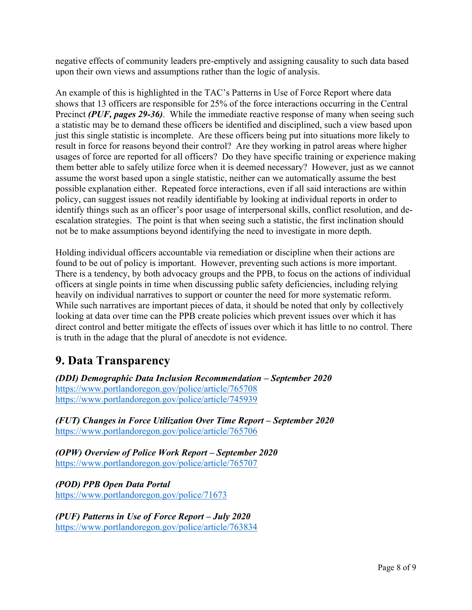negative effects of community leaders pre-emptively and assigning causality to such data based upon their own views and assumptions rather than the logic of analysis.

An example of this is highlighted in the TAC's Patterns in Use of Force Report where data shows that 13 officers are responsible for 25% of the force interactions occurring in the Central Precinct *(PUF, pages 29-36)*. While the immediate reactive response of many when seeing such a statistic may be to demand these officers be identified and disciplined, such a view based upon just this single statistic is incomplete. Are these officers being put into situations more likely to result in force for reasons beyond their control? Are they working in patrol areas where higher usages of force are reported for all officers? Do they have specific training or experience making them better able to safely utilize force when it is deemed necessary? However, just as we cannot assume the worst based upon a single statistic, neither can we automatically assume the best possible explanation either. Repeated force interactions, even if all said interactions are within policy, can suggest issues not readily identifiable by looking at individual reports in order to identify things such as an officer's poor usage of interpersonal skills, conflict resolution, and deescalation strategies. The point is that when seeing such a statistic, the first inclination should not be to make assumptions beyond identifying the need to investigate in more depth.

Holding individual officers accountable via remediation or discipline when their actions are found to be out of policy is important. However, preventing such actions is more important. There is a tendency, by both advocacy groups and the PPB, to focus on the actions of individual officers at single points in time when discussing public safety deficiencies, including relying heavily on individual narratives to support or counter the need for more systematic reform. While such narratives are important pieces of data, it should be noted that only by collectively looking at data over time can the PPB create policies which prevent issues over which it has direct control and better mitigate the effects of issues over which it has little to no control. There is truth in the adage that the plural of anecdote is not evidence.

#### **9. Data Transparency**

*(DDI) Demographic Data Inclusion Recommendation – September 2020* <https://www.portlandoregon.gov/police/article/765708> <https://www.portlandoregon.gov/police/article/745939>

*(FUT)* Changes in Force Utilization Over Time Report – September 2020 <https://www.portlandoregon.gov/police/article/765706>

*(OPW) Overview of Police Work Report – September 2020* <https://www.portlandoregon.gov/police/article/765707>

*(POD) PPB Open Data Portal* <https://www.portlandoregon.gov/police/71673>

*(PUF) Patterns in Use of Force Report – July 2020* <https://www.portlandoregon.gov/police/article/763834>